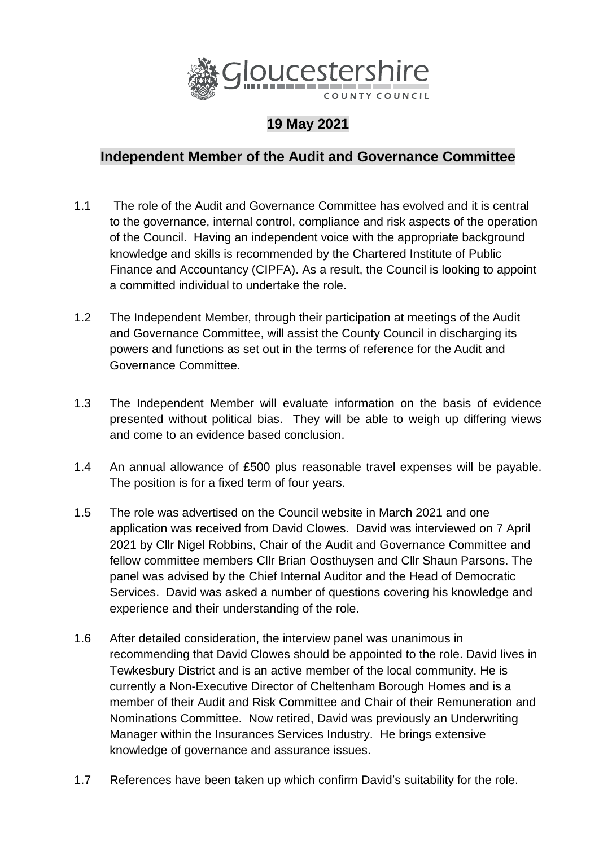

## **19 May 2021**

## **Independent Member of the Audit and Governance Committee**

- 1.1 The role of the Audit and Governance Committee has evolved and it is central to the governance, internal control, compliance and risk aspects of the operation of the Council. Having an independent voice with the appropriate background knowledge and skills is recommended by the Chartered Institute of Public Finance and Accountancy (CIPFA). As a result, the Council is looking to appoint a committed individual to undertake the role.
- 1.2 The Independent Member, through their participation at meetings of the Audit and Governance Committee, will assist the County Council in discharging its powers and functions as set out in the terms of reference for the Audit and Governance Committee.
- 1.3 The Independent Member will evaluate information on the basis of evidence presented without political bias. They will be able to weigh up differing views and come to an evidence based conclusion.
- 1.4 An annual allowance of £500 plus reasonable travel expenses will be payable. The position is for a fixed term of four years.
- 1.5 The role was advertised on the Council website in March 2021 and one application was received from David Clowes. David was interviewed on 7 April 2021 by Cllr Nigel Robbins, Chair of the Audit and Governance Committee and fellow committee members Cllr Brian Oosthuysen and Cllr Shaun Parsons. The panel was advised by the Chief Internal Auditor and the Head of Democratic Services. David was asked a number of questions covering his knowledge and experience and their understanding of the role.
- 1.6 After detailed consideration, the interview panel was unanimous in recommending that David Clowes should be appointed to the role. David lives in Tewkesbury District and is an active member of the local community. He is currently a Non-Executive Director of Cheltenham Borough Homes and is a member of their Audit and Risk Committee and Chair of their Remuneration and Nominations Committee. Now retired, David was previously an Underwriting Manager within the Insurances Services Industry. He brings extensive knowledge of governance and assurance issues.
- 1.7 References have been taken up which confirm David's suitability for the role.